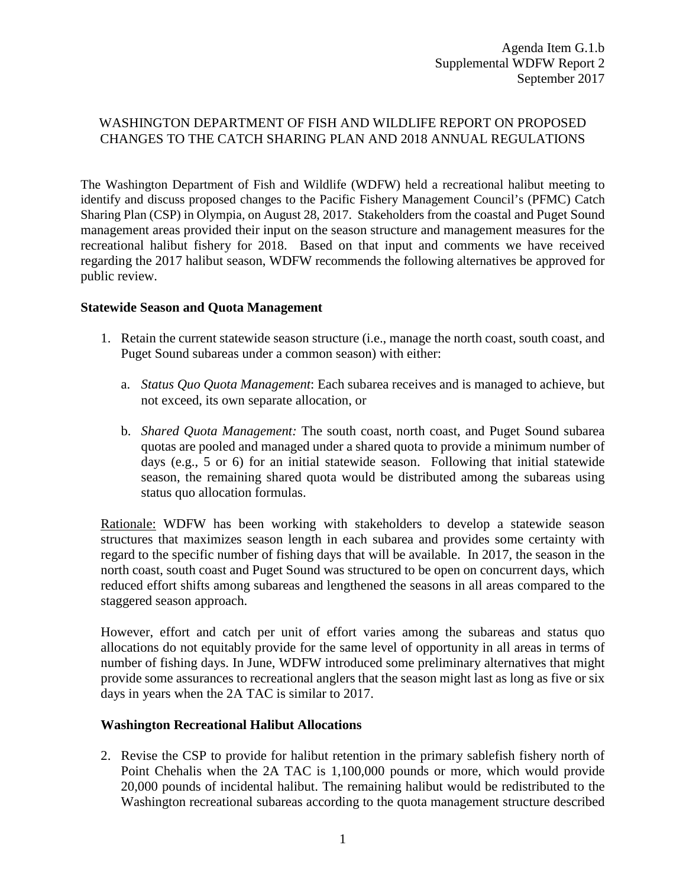# WASHINGTON DEPARTMENT OF FISH AND WILDLIFE REPORT ON PROPOSED CHANGES TO THE CATCH SHARING PLAN AND 2018 ANNUAL REGULATIONS

The Washington Department of Fish and Wildlife (WDFW) held a recreational halibut meeting to identify and discuss proposed changes to the Pacific Fishery Management Council's (PFMC) Catch Sharing Plan (CSP) in Olympia, on August 28, 2017. Stakeholders from the coastal and Puget Sound management areas provided their input on the season structure and management measures for the recreational halibut fishery for 2018. Based on that input and comments we have received regarding the 2017 halibut season, WDFW recommends the following alternatives be approved for public review.

#### **Statewide Season and Quota Management**

- 1. Retain the current statewide season structure (i.e., manage the north coast, south coast, and Puget Sound subareas under a common season) with either:
	- a. *Status Quo Quota Management*: Each subarea receives and is managed to achieve, but not exceed, its own separate allocation, or
	- b. *Shared Quota Management:* The south coast, north coast, and Puget Sound subarea quotas are pooled and managed under a shared quota to provide a minimum number of days (e.g., 5 or 6) for an initial statewide season. Following that initial statewide season, the remaining shared quota would be distributed among the subareas using status quo allocation formulas.

Rationale: WDFW has been working with stakeholders to develop a statewide season structures that maximizes season length in each subarea and provides some certainty with regard to the specific number of fishing days that will be available. In 2017, the season in the north coast, south coast and Puget Sound was structured to be open on concurrent days, which reduced effort shifts among subareas and lengthened the seasons in all areas compared to the staggered season approach.

However, effort and catch per unit of effort varies among the subareas and status quo allocations do not equitably provide for the same level of opportunity in all areas in terms of number of fishing days. In June, WDFW introduced some preliminary alternatives that might provide some assurances to recreational anglers that the season might last as long as five or six days in years when the 2A TAC is similar to 2017.

#### **Washington Recreational Halibut Allocations**

2. Revise the CSP to provide for halibut retention in the primary sablefish fishery north of Point Chehalis when the 2A TAC is 1,100,000 pounds or more, which would provide 20,000 pounds of incidental halibut. The remaining halibut would be redistributed to the Washington recreational subareas according to the quota management structure described